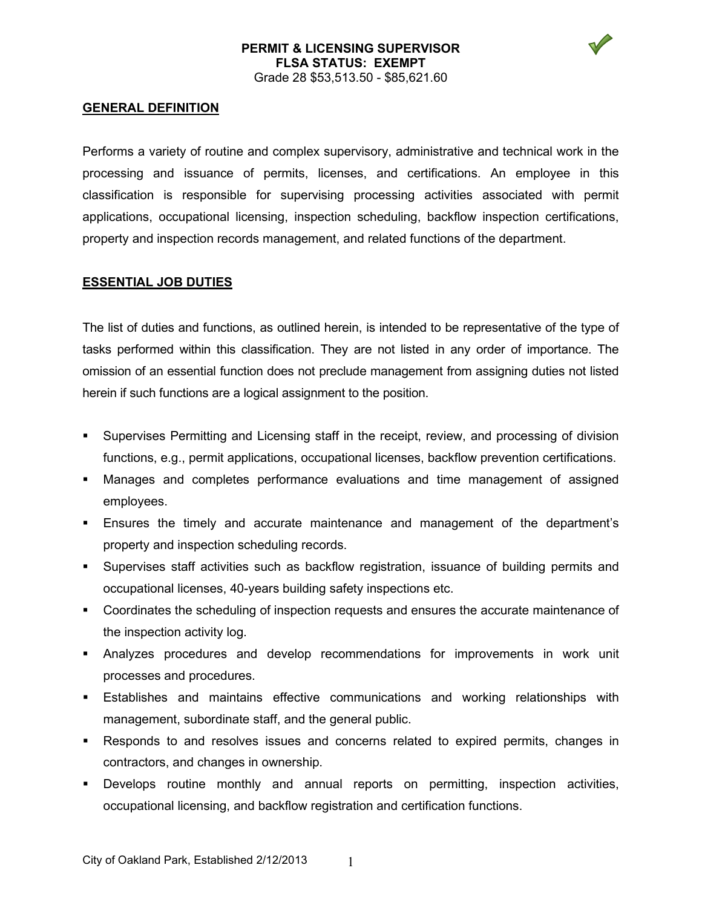### **PERMIT & LICENSING SUPERVISOR FLSA STATUS: EXEMPT** Grade 28 \$53,513.50 - \$85,621.60



### **GENERAL DEFINITION**

Performs a variety of routine and complex supervisory, administrative and technical work in the processing and issuance of permits, licenses, and certifications. An employee in this classification is responsible for supervising processing activities associated with permit applications, occupational licensing, inspection scheduling, backflow inspection certifications, property and inspection records management, and related functions of the department.

#### **ESSENTIAL JOB DUTIES**

The list of duties and functions, as outlined herein, is intended to be representative of the type of tasks performed within this classification. They are not listed in any order of importance. The omission of an essential function does not preclude management from assigning duties not listed herein if such functions are a logical assignment to the position.

- Supervises Permitting and Licensing staff in the receipt, review, and processing of division functions, e.g., permit applications, occupational licenses, backflow prevention certifications.
- Manages and completes performance evaluations and time management of assigned employees.
- Ensures the timely and accurate maintenance and management of the department's property and inspection scheduling records.
- Supervises staff activities such as backflow registration, issuance of building permits and occupational licenses, 40-years building safety inspections etc.
- Coordinates the scheduling of inspection requests and ensures the accurate maintenance of the inspection activity log.
- Analyzes procedures and develop recommendations for improvements in work unit processes and procedures.
- Establishes and maintains effective communications and working relationships with management, subordinate staff, and the general public.
- Responds to and resolves issues and concerns related to expired permits, changes in contractors, and changes in ownership.
- Develops routine monthly and annual reports on permitting, inspection activities, occupational licensing, and backflow registration and certification functions.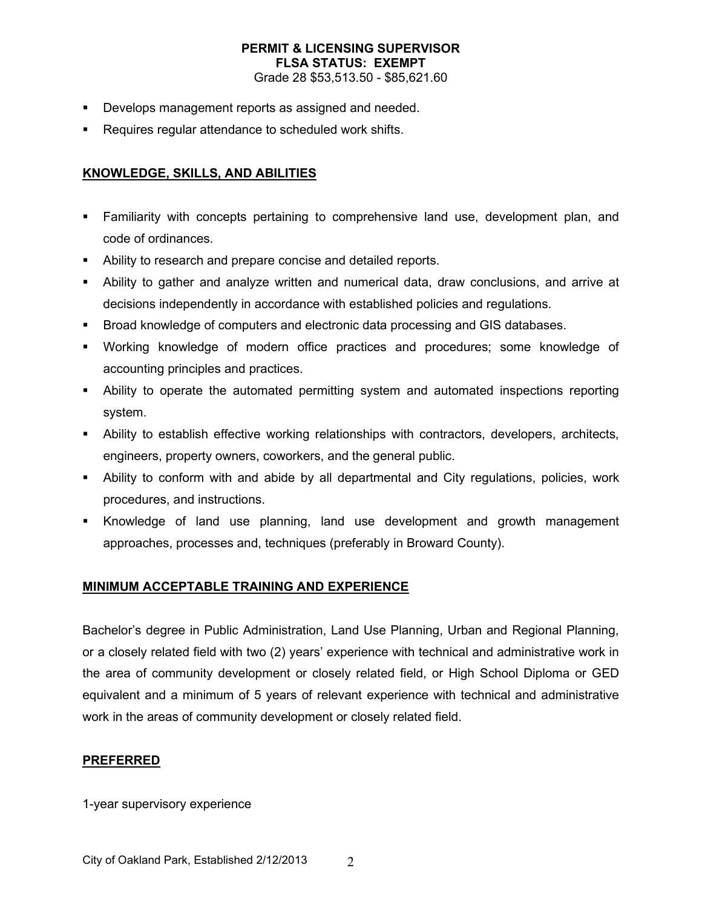# **PERMIT & LICENSING SUPERVISOR FLSA STATUS: EXEMPT**

Grade 28 \$53,513.50 - \$85,621.60

- Develops management reports as assigned and needed.
- Requires regular attendance to scheduled work shifts.

## **KNOWLEDGE, SKILLS, AND ABILITIES**

- Familiarity with concepts pertaining to comprehensive land use, development plan, and code of ordinances.
- Ability to research and prepare concise and detailed reports.
- Ability to gather and analyze written and numerical data, draw conclusions, and arrive at decisions independently in accordance with established policies and regulations.
- Broad knowledge of computers and electronic data processing and GIS databases.
- Working knowledge of modern office practices and procedures; some knowledge of accounting principles and practices.
- Ability to operate the automated permitting system and automated inspections reporting system.
- Ability to establish effective working relationships with contractors, developers, architects, engineers, property owners, coworkers, and the general public.
- Ability to conform with and abide by all departmental and City regulations, policies, work procedures, and instructions.
- Knowledge of land use planning, land use development and growth management approaches, processes and, techniques (preferably in Broward County).

### **MINIMUM ACCEPTABLE TRAINING AND EXPERIENCE**

Bachelor's degree in Public Administration, Land Use Planning, Urban and Regional Planning, or a closely related field with two (2) years' experience with technical and administrative work in the area of community development or closely related field, or High School Diploma or GED equivalent and a minimum of 5 years of relevant experience with technical and administrative work in the areas of community development or closely related field.

### **PREFERRED**

1-year supervisory experience